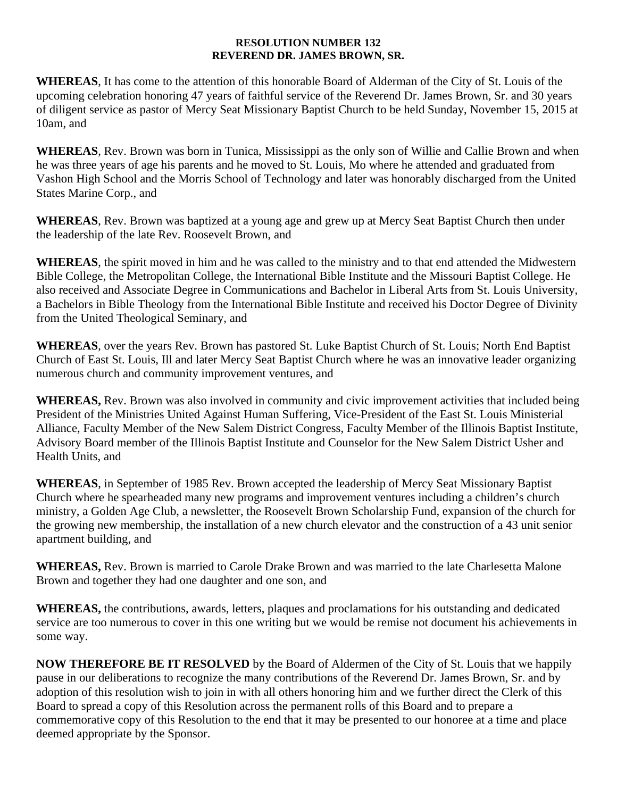## **RESOLUTION NUMBER 132 REVEREND DR. JAMES BROWN, SR.**

**WHEREAS**, It has come to the attention of this honorable Board of Alderman of the City of St. Louis of the upcoming celebration honoring 47 years of faithful service of the Reverend Dr. James Brown, Sr. and 30 years of diligent service as pastor of Mercy Seat Missionary Baptist Church to be held Sunday, November 15, 2015 at 10am, and

**WHEREAS**, Rev. Brown was born in Tunica, Mississippi as the only son of Willie and Callie Brown and when he was three years of age his parents and he moved to St. Louis, Mo where he attended and graduated from Vashon High School and the Morris School of Technology and later was honorably discharged from the United States Marine Corp., and

**WHEREAS**, Rev. Brown was baptized at a young age and grew up at Mercy Seat Baptist Church then under the leadership of the late Rev. Roosevelt Brown, and

**WHEREAS**, the spirit moved in him and he was called to the ministry and to that end attended the Midwestern Bible College, the Metropolitan College, the International Bible Institute and the Missouri Baptist College. He also received and Associate Degree in Communications and Bachelor in Liberal Arts from St. Louis University, a Bachelors in Bible Theology from the International Bible Institute and received his Doctor Degree of Divinity from the United Theological Seminary, and

**WHEREAS**, over the years Rev. Brown has pastored St. Luke Baptist Church of St. Louis; North End Baptist Church of East St. Louis, Ill and later Mercy Seat Baptist Church where he was an innovative leader organizing numerous church and community improvement ventures, and

**WHEREAS,** Rev. Brown was also involved in community and civic improvement activities that included being President of the Ministries United Against Human Suffering, Vice-President of the East St. Louis Ministerial Alliance, Faculty Member of the New Salem District Congress, Faculty Member of the Illinois Baptist Institute, Advisory Board member of the Illinois Baptist Institute and Counselor for the New Salem District Usher and Health Units, and

**WHEREAS**, in September of 1985 Rev. Brown accepted the leadership of Mercy Seat Missionary Baptist Church where he spearheaded many new programs and improvement ventures including a children's church ministry, a Golden Age Club, a newsletter, the Roosevelt Brown Scholarship Fund, expansion of the church for the growing new membership, the installation of a new church elevator and the construction of a 43 unit senior apartment building, and

**WHEREAS,** Rev. Brown is married to Carole Drake Brown and was married to the late Charlesetta Malone Brown and together they had one daughter and one son, and

**WHEREAS,** the contributions, awards, letters, plaques and proclamations for his outstanding and dedicated service are too numerous to cover in this one writing but we would be remise not document his achievements in some way.

**NOW THEREFORE BE IT RESOLVED** by the Board of Aldermen of the City of St. Louis that we happily pause in our deliberations to recognize the many contributions of the Reverend Dr. James Brown, Sr. and by adoption of this resolution wish to join in with all others honoring him and we further direct the Clerk of this Board to spread a copy of this Resolution across the permanent rolls of this Board and to prepare a commemorative copy of this Resolution to the end that it may be presented to our honoree at a time and place deemed appropriate by the Sponsor.